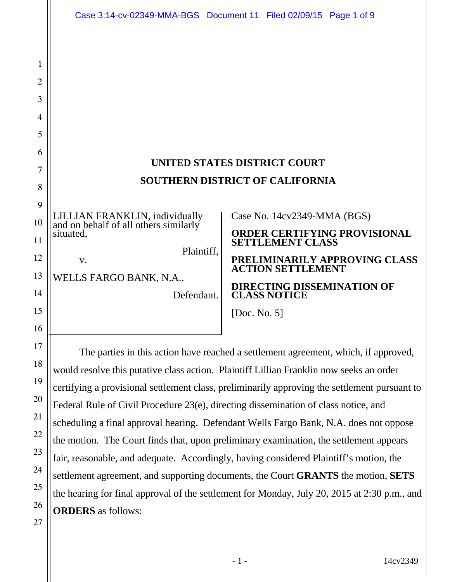|    |                                                                                                                                                                                                                                                                                                                                                                        | Case 3:14-cv-02349-MMA-BGS  Document 11  Filed 02/09/15  Page 1 of 9 |
|----|------------------------------------------------------------------------------------------------------------------------------------------------------------------------------------------------------------------------------------------------------------------------------------------------------------------------------------------------------------------------|----------------------------------------------------------------------|
|    |                                                                                                                                                                                                                                                                                                                                                                        |                                                                      |
|    |                                                                                                                                                                                                                                                                                                                                                                        |                                                                      |
| 1  |                                                                                                                                                                                                                                                                                                                                                                        |                                                                      |
| 2  |                                                                                                                                                                                                                                                                                                                                                                        |                                                                      |
| 3  |                                                                                                                                                                                                                                                                                                                                                                        |                                                                      |
| 4  |                                                                                                                                                                                                                                                                                                                                                                        |                                                                      |
| 5  |                                                                                                                                                                                                                                                                                                                                                                        |                                                                      |
| 6  |                                                                                                                                                                                                                                                                                                                                                                        |                                                                      |
| 7  | UNITED STATES DISTRICT COURT                                                                                                                                                                                                                                                                                                                                           |                                                                      |
| 8  |                                                                                                                                                                                                                                                                                                                                                                        | <b>SOUTHERN DISTRICT OF CALIFORNIA</b>                               |
| 9  |                                                                                                                                                                                                                                                                                                                                                                        |                                                                      |
| 10 | LILLIAN FRANKLIN, individually<br>and on behalf of all others similarly                                                                                                                                                                                                                                                                                                | Case No. 14cv2349-MMA (BGS)                                          |
| 11 | situated,                                                                                                                                                                                                                                                                                                                                                              | <b>ORDER CERTIFYING PROVISIONAL</b><br><b>SETTLEMENT CLASS</b>       |
| 12 | Plaintiff,<br>V.                                                                                                                                                                                                                                                                                                                                                       | PRELIMINARILY APPROVING CLASS                                        |
| 13 | WELLS FARGO BANK, N.A.,                                                                                                                                                                                                                                                                                                                                                | <b>ACTION SETTLEMENT</b>                                             |
| 14 | Defendant.                                                                                                                                                                                                                                                                                                                                                             | <b>DIRECTING DISSEMINATION OF</b><br><b>CLASS NOTICE</b>             |
| 15 |                                                                                                                                                                                                                                                                                                                                                                        | [Doc. No. $5$ ]                                                      |
| 16 |                                                                                                                                                                                                                                                                                                                                                                        |                                                                      |
| 17 | The parties in this action have reached a settlement agreement, which, if approved,<br>would resolve this putative class action. Plaintiff Lillian Franklin now seeks an order<br>certifying a provisional settlement class, preliminarily approving the settlement pursuant to<br>Federal Rule of Civil Procedure 23(e), directing dissemination of class notice, and |                                                                      |
| 18 |                                                                                                                                                                                                                                                                                                                                                                        |                                                                      |
| 19 |                                                                                                                                                                                                                                                                                                                                                                        |                                                                      |
| 20 |                                                                                                                                                                                                                                                                                                                                                                        |                                                                      |
| 21 |                                                                                                                                                                                                                                                                                                                                                                        |                                                                      |
| 22 | scheduling a final approval hearing. Defendant Wells Fargo Bank, N.A. does not oppose                                                                                                                                                                                                                                                                                  |                                                                      |
| 23 | the motion. The Court finds that, upon preliminary examination, the settlement appears                                                                                                                                                                                                                                                                                 |                                                                      |
|    | fair, reasonable, and adequate. Accordingly, having considered Plaintiff's motion, the                                                                                                                                                                                                                                                                                 |                                                                      |
| 24 | settlement agreement, and supporting documents, the Court GRANTS the motion, SETS                                                                                                                                                                                                                                                                                      |                                                                      |
| 25 | the hearing for final enorgy of the settlement for Monday July 20, 2015 et 2:20 n m and                                                                                                                                                                                                                                                                                |                                                                      |

26 the hearing for final approval of the settlement for Monday, July 20, 2015 at 2:30 p.m., and **ORDERS** as follows:

27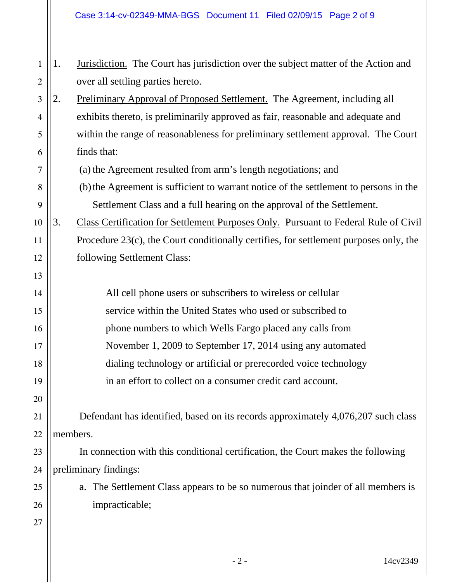1 2 3 4 5 6 7 8 9 10 11 12 13 14 15 16 17 18 19 20 21 22 23 24 25 26 27 1. Jurisdiction. The Court has jurisdiction over the subject matter of the Action and over all settling parties hereto. 2. Preliminary Approval of Proposed Settlement. The Agreement, including all exhibits thereto, is preliminarily approved as fair, reasonable and adequate and within the range of reasonableness for preliminary settlement approval. The Court finds that: (a) the Agreement resulted from arm's length negotiations; and (b)the Agreement is sufficient to warrant notice of the settlement to persons in the Settlement Class and a full hearing on the approval of the Settlement. 3. Class Certification for Settlement Purposes Only. Pursuant to Federal Rule of Civil Procedure 23(c), the Court conditionally certifies, for settlement purposes only, the following Settlement Class: All cell phone users or subscribers to wireless or cellular service within the United States who used or subscribed to phone numbers to which Wells Fargo placed any calls from November 1, 2009 to September 17, 2014 using any automated dialing technology or artificial or prerecorded voice technology in an effort to collect on a consumer credit card account. Defendant has identified, based on its records approximately 4,076,207 such class members. In connection with this conditional certification, the Court makes the following preliminary findings: a. The Settlement Class appears to be so numerous that joinder of all members is impracticable;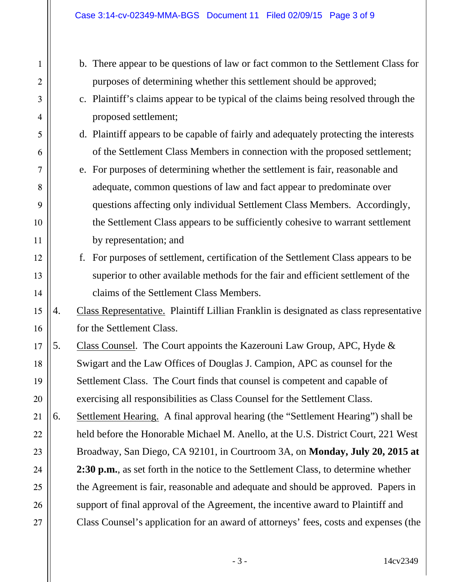1 2 3 4 5 6 7 8 9 10 11 12 13 14 15 16 17 18 19 20 21 22 23 24 25 26 27 b. There appear to be questions of law or fact common to the Settlement Class for purposes of determining whether this settlement should be approved; c. Plaintiff's claims appear to be typical of the claims being resolved through the proposed settlement; d. Plaintiff appears to be capable of fairly and adequately protecting the interests of the Settlement Class Members in connection with the proposed settlement; e. For purposes of determining whether the settlement is fair, reasonable and adequate, common questions of law and fact appear to predominate over questions affecting only individual Settlement Class Members. Accordingly, the Settlement Class appears to be sufficiently cohesive to warrant settlement by representation; and f. For purposes of settlement, certification of the Settlement Class appears to be superior to other available methods for the fair and efficient settlement of the claims of the Settlement Class Members. 4. Class Representative. Plaintiff Lillian Franklin is designated as class representative for the Settlement Class. 5. Class Counsel. The Court appoints the Kazerouni Law Group, APC, Hyde & Swigart and the Law Offices of Douglas J. Campion, APC as counsel for the Settlement Class. The Court finds that counsel is competent and capable of exercising all responsibilities as Class Counsel for the Settlement Class. 6. Settlement Hearing. A final approval hearing (the "Settlement Hearing") shall be held before the Honorable Michael M. Anello, at the U.S. District Court, 221 West Broadway, San Diego, CA 92101, in Courtroom 3A, on **Monday, July 20, 2015 at 2:30 p.m.**, as set forth in the notice to the Settlement Class, to determine whether the Agreement is fair, reasonable and adequate and should be approved. Papers in support of final approval of the Agreement, the incentive award to Plaintiff and Class Counsel's application for an award of attorneys' fees, costs and expenses (the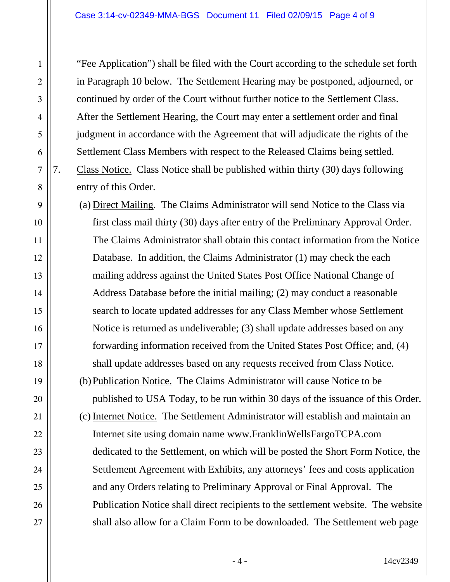1

2

3

4

5

6

7

8

9

10

11

12

13

14

15

16

17

18

19

20

21

22

23

24

25

26

27

"Fee Application") shall be filed with the Court according to the schedule set forth in Paragraph 10 below. The Settlement Hearing may be postponed, adjourned, or continued by order of the Court without further notice to the Settlement Class. After the Settlement Hearing, the Court may enter a settlement order and final judgment in accordance with the Agreement that will adjudicate the rights of the Settlement Class Members with respect to the Released Claims being settled. 7. Class Notice. Class Notice shall be published within thirty (30) days following entry of this Order.

(a) Direct Mailing. The Claims Administrator will send Notice to the Class via first class mail thirty (30) days after entry of the Preliminary Approval Order. The Claims Administrator shall obtain this contact information from the Notice Database. In addition, the Claims Administrator (1) may check the each mailing address against the United States Post Office National Change of Address Database before the initial mailing; (2) may conduct a reasonable search to locate updated addresses for any Class Member whose Settlement Notice is returned as undeliverable; (3) shall update addresses based on any forwarding information received from the United States Post Office; and, (4) shall update addresses based on any requests received from Class Notice. (b)Publication Notice. The Claims Administrator will cause Notice to be

published to USA Today, to be run within 30 days of the issuance of this Order. (c) Internet Notice. The Settlement Administrator will establish and maintain an Internet site using domain name www.FranklinWellsFargoTCPA.com dedicated to the Settlement, on which will be posted the Short Form Notice, the Settlement Agreement with Exhibits, any attorneys' fees and costs application and any Orders relating to Preliminary Approval or Final Approval. The Publication Notice shall direct recipients to the settlement website. The website shall also allow for a Claim Form to be downloaded. The Settlement web page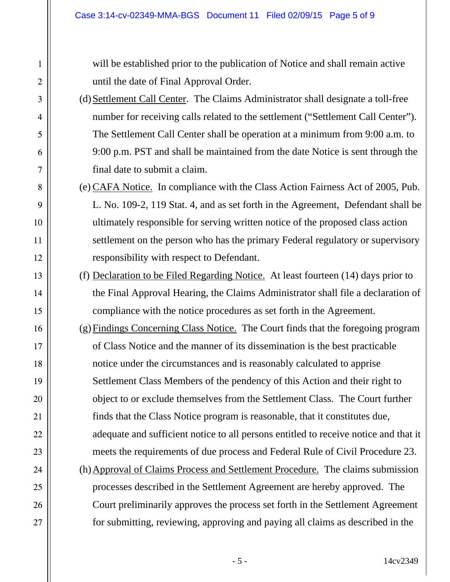will be established prior to the publication of Notice and shall remain active until the date of Final Approval Order.

- (d) Settlement Call Center. The Claims Administrator shall designate a toll-free number for receiving calls related to the settlement ("Settlement Call Center"). The Settlement Call Center shall be operation at a minimum from 9:00 a.m. to 9:00 p.m. PST and shall be maintained from the date Notice is sent through the final date to submit a claim.
- (e) CAFA Notice. In compliance with the Class Action Fairness Act of 2005, Pub. L. No. 109-2, 119 Stat. 4, and as set forth in the Agreement, Defendant shall be ultimately responsible for serving written notice of the proposed class action settlement on the person who has the primary Federal regulatory or supervisory responsibility with respect to Defendant.
- (f) Declaration to be Filed Regarding Notice. At least fourteen (14) days prior to the Final Approval Hearing, the Claims Administrator shall file a declaration of compliance with the notice procedures as set forth in the Agreement.
- (g)Findings Concerning Class Notice. The Court finds that the foregoing program of Class Notice and the manner of its dissemination is the best practicable notice under the circumstances and is reasonably calculated to apprise Settlement Class Members of the pendency of this Action and their right to object to or exclude themselves from the Settlement Class. The Court further finds that the Class Notice program is reasonable, that it constitutes due, adequate and sufficient notice to all persons entitled to receive notice and that it meets the requirements of due process and Federal Rule of Civil Procedure 23.
	- (h)Approval of Claims Process and Settlement Procedure. The claims submission processes described in the Settlement Agreement are hereby approved. The Court preliminarily approves the process set forth in the Settlement Agreement for submitting, reviewing, approving and paying all claims as described in the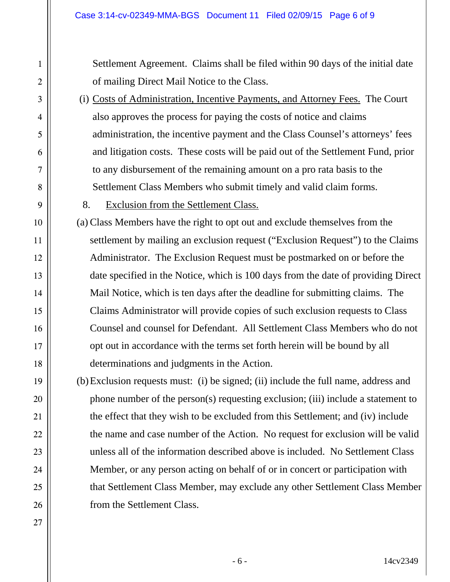Settlement Agreement. Claims shall be filed within 90 days of the initial date of mailing Direct Mail Notice to the Class.

- (i) Costs of Administration, Incentive Payments, and Attorney Fees. The Court also approves the process for paying the costs of notice and claims administration, the incentive payment and the Class Counsel's attorneys' fees and litigation costs. These costs will be paid out of the Settlement Fund, prior to any disbursement of the remaining amount on a pro rata basis to the Settlement Class Members who submit timely and valid claim forms.
- 8. Exclusion from the Settlement Class.
- (a) Class Members have the right to opt out and exclude themselves from the settlement by mailing an exclusion request ("Exclusion Request") to the Claims Administrator. The Exclusion Request must be postmarked on or before the date specified in the Notice, which is 100 days from the date of providing Direct Mail Notice, which is ten days after the deadline for submitting claims. The Claims Administrator will provide copies of such exclusion requests to Class Counsel and counsel for Defendant. All Settlement Class Members who do not opt out in accordance with the terms set forth herein will be bound by all determinations and judgments in the Action.
- (b)Exclusion requests must: (i) be signed; (ii) include the full name, address and phone number of the person(s) requesting exclusion; (iii) include a statement to the effect that they wish to be excluded from this Settlement; and (iv) include the name and case number of the Action. No request for exclusion will be valid unless all of the information described above is included. No Settlement Class Member, or any person acting on behalf of or in concert or participation with that Settlement Class Member, may exclude any other Settlement Class Member from the Settlement Class.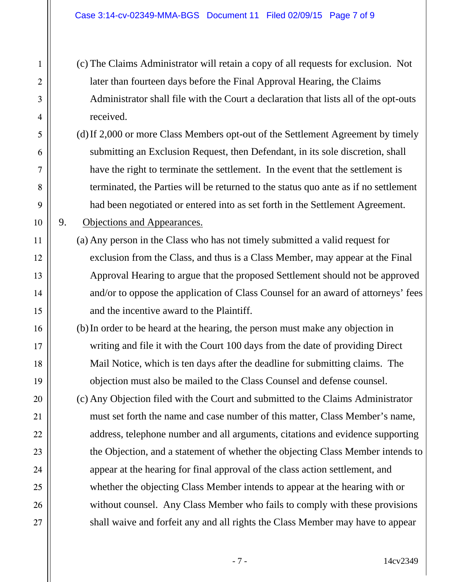- (c) The Claims Administrator will retain a copy of all requests for exclusion. Not later than fourteen days before the Final Approval Hearing, the Claims Administrator shall file with the Court a declaration that lists all of the opt-outs received.
- (d)If 2,000 or more Class Members opt-out of the Settlement Agreement by timely submitting an Exclusion Request, then Defendant, in its sole discretion, shall have the right to terminate the settlement. In the event that the settlement is terminated, the Parties will be returned to the status quo ante as if no settlement had been negotiated or entered into as set forth in the Settlement Agreement.

## 9. Objections and Appearances.

1

2

3

4

5

6

7

8

9

10

11

12

13

14

15

16

17

18

19

20

21

22

23

24

25

26

27

- (a) Any person in the Class who has not timely submitted a valid request for exclusion from the Class, and thus is a Class Member, may appear at the Final Approval Hearing to argue that the proposed Settlement should not be approved and/or to oppose the application of Class Counsel for an award of attorneys' fees and the incentive award to the Plaintiff.
- (b)In order to be heard at the hearing, the person must make any objection in writing and file it with the Court 100 days from the date of providing Direct Mail Notice, which is ten days after the deadline for submitting claims. The objection must also be mailed to the Class Counsel and defense counsel.
- (c) Any Objection filed with the Court and submitted to the Claims Administrator must set forth the name and case number of this matter, Class Member's name, address, telephone number and all arguments, citations and evidence supporting the Objection, and a statement of whether the objecting Class Member intends to appear at the hearing for final approval of the class action settlement, and whether the objecting Class Member intends to appear at the hearing with or without counsel. Any Class Member who fails to comply with these provisions shall waive and forfeit any and all rights the Class Member may have to appear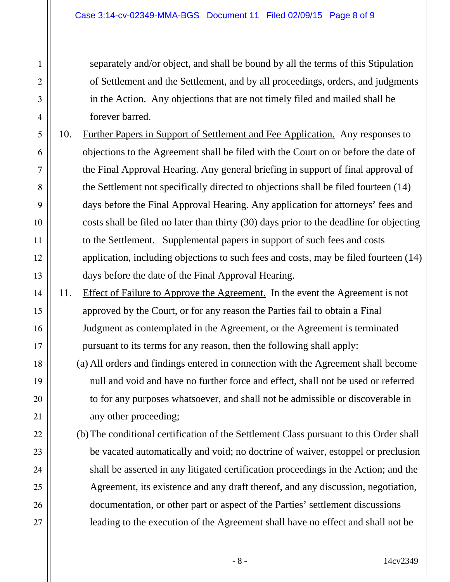1

2

3

4

5

6

7

8

9

10

11

12

13

14

15

16

17

18

19

20

21

22

23

24

25

26

27

separately and/or object, and shall be bound by all the terms of this Stipulation of Settlement and the Settlement, and by all proceedings, orders, and judgments in the Action. Any objections that are not timely filed and mailed shall be forever barred.

- 10. Further Papers in Support of Settlement and Fee Application. Any responses to objections to the Agreement shall be filed with the Court on or before the date of the Final Approval Hearing. Any general briefing in support of final approval of the Settlement not specifically directed to objections shall be filed fourteen (14) days before the Final Approval Hearing. Any application for attorneys' fees and costs shall be filed no later than thirty (30) days prior to the deadline for objecting to the Settlement. Supplemental papers in support of such fees and costs application, including objections to such fees and costs, may be filed fourteen (14) days before the date of the Final Approval Hearing.
- 11. Effect of Failure to Approve the Agreement. In the event the Agreement is not approved by the Court, or for any reason the Parties fail to obtain a Final Judgment as contemplated in the Agreement, or the Agreement is terminated pursuant to its terms for any reason, then the following shall apply:
	- (a) All orders and findings entered in connection with the Agreement shall become null and void and have no further force and effect, shall not be used or referred to for any purposes whatsoever, and shall not be admissible or discoverable in any other proceeding;
	- (b)The conditional certification of the Settlement Class pursuant to this Order shall be vacated automatically and void; no doctrine of waiver, estoppel or preclusion shall be asserted in any litigated certification proceedings in the Action; and the Agreement, its existence and any draft thereof, and any discussion, negotiation, documentation, or other part or aspect of the Parties' settlement discussions leading to the execution of the Agreement shall have no effect and shall not be